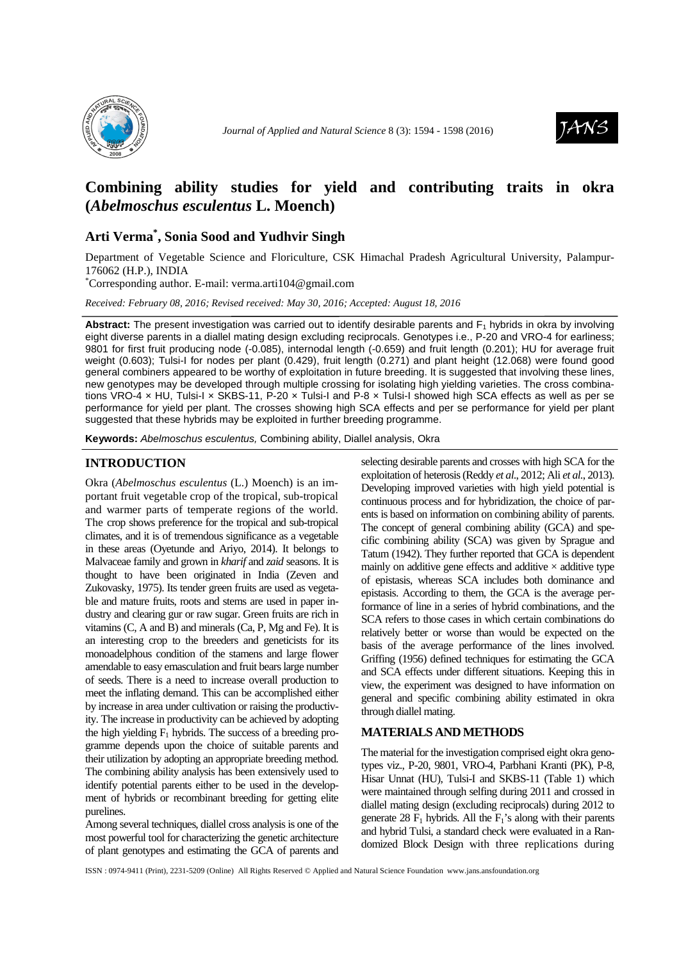



# **Combining ability studies for yield and contributing traits in okra (***Abelmoschus esculentus* **L. Moench)**

## **Arti Verma\* , Sonia Sood and Yudhvir Singh**

Department of Vegetable Science and Floriculture, CSK Himachal Pradesh Agricultural University, Palampur-176062 (H.P.), INDIA

\*Corresponding author. E-mail: verma.arti104@gmail.com

*Received: February 08, 2016; Revised received: May 30, 2016; Accepted: August 18, 2016*

**Abstract:** The present investigation was carried out to identify desirable parents and  $F_1$  hybrids in okra by involving eight diverse parents in a diallel mating design excluding reciprocals. Genotypes i.e., P-20 and VRO-4 for earliness; 9801 for first fruit producing node (-0.085), internodal length (-0.659) and fruit length (0.201); HU for average fruit weight (0.603); Tulsi-I for nodes per plant (0.429), fruit length (0.271) and plant height (12.068) were found good general combiners appeared to be worthy of exploitation in future breeding. It is suggested that involving these lines, new genotypes may be developed through multiple crossing for isolating high yielding varieties. The cross combinations VRO-4 x HU, Tulsi-I x SKBS-11, P-20 x Tulsi-I and P-8 x Tulsi-I showed high SCA effects as well as per se performance for yield per plant. The crosses showing high SCA effects and per se performance for yield per plant suggested that these hybrids may be exploited in further breeding programme.

**Keywords:** Abelmoschus esculentus, Combining ability, Diallel analysis, Okra

#### **INTRODUCTION**

Okra (*Abelmoschus esculentus* (L.) Moench) is an important fruit vegetable crop of the tropical, sub-tropical and warmer parts of temperate regions of the world. The crop shows preference for the tropical and sub-tropical climates, and it is of tremendous significance as a vegetable in these areas (Oyetunde and Ariyo, 2014). It belongs to Malvaceae family and grown in *kharif* and *zaid* seasons. It is thought to have been originated in India (Zeven and Zukovasky, 1975). Its tender green fruits are used as vegetable and mature fruits, roots and stems are used in paper industry and clearing gur or raw sugar. Green fruits are rich in vitamins (C, A and B) and minerals (Ca, P, Mg and Fe). It is an interesting crop to the breeders and geneticists for its monoadelphous condition of the stamens and large flower amendable to easy emasculation and fruit bears large number of seeds. There is a need to increase overall production to meet the inflating demand. This can be accomplished either by increase in area under cultivation or raising the productivity. The increase in productivity can be achieved by adopting the high yielding  $F_1$  hybrids. The success of a breeding programme depends upon the choice of suitable parents and their utilization by adopting an appropriate breeding method. The combining ability analysis has been extensively used to identify potential parents either to be used in the development of hybrids or recombinant breeding for getting elite purelines.

Among several techniques, diallel cross analysis is one of the most powerful tool for characterizing the genetic architecture of plant genotypes and estimating the GCA of parents and

selecting desirable parents and crosses with high SCA for the exploitation of heterosis (Reddy *et al*., 2012; Ali *et al*., 2013). Developing improved varieties with high yield potential is continuous process and for hybridization, the choice of parents is based on information on combining ability of parents. The concept of general combining ability (GCA) and specific combining ability (SCA) was given by Sprague and Tatum (1942). They further reported that GCA is dependent mainly on additive gene effects and additive  $\times$  additive type of epistasis, whereas SCA includes both dominance and epistasis. According to them, the GCA is the average performance of line in a series of hybrid combinations, and the SCA refers to those cases in which certain combinations do relatively better or worse than would be expected on the basis of the average performance of the lines involved. Griffing (1956) defined techniques for estimating the GCA and SCA effects under different situations. Keeping this in view, the experiment was designed to have information on general and specific combining ability estimated in okra through diallel mating.

### **MATERIALS AND METHODS**

The material for the investigation comprised eight okra genotypes viz., P-20, 9801, VRO-4, Parbhani Kranti (PK), P-8, Hisar Unnat (HU), Tulsi-I and SKBS-11 (Table 1) which were maintained through selfing during 2011 and crossed in diallel mating design (excluding reciprocals) during 2012 to generate 28  $F_1$  hybrids. All the  $F_1$ 's along with their parents and hybrid Tulsi, a standard check were evaluated in a Randomized Block Design with three replications during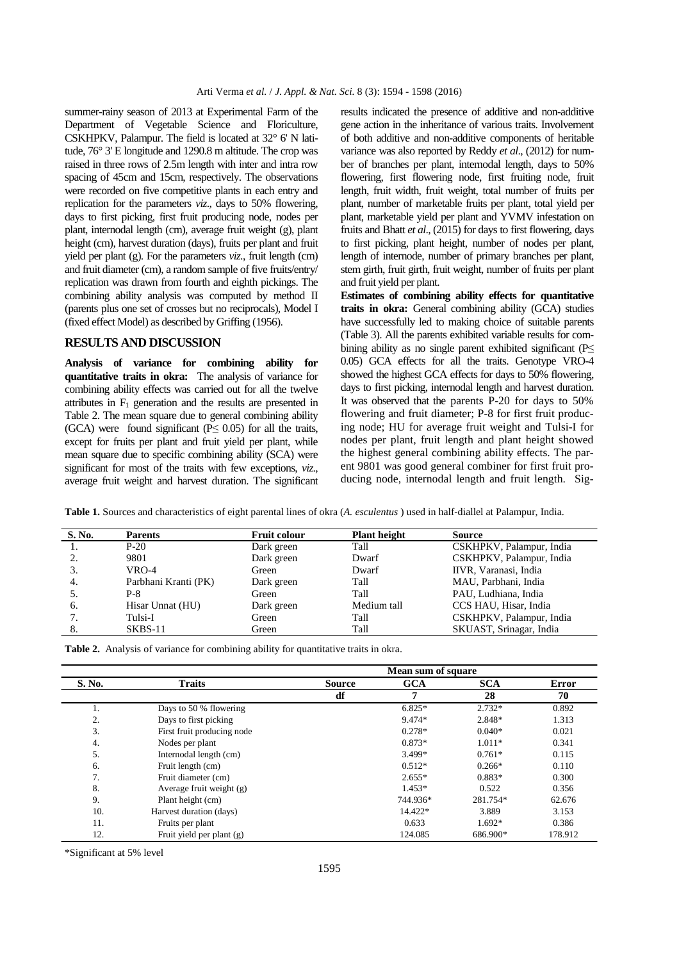summer-rainy season of 2013 at Experimental Farm of the Department of Vegetable Science and Floriculture, CSKHPKV, Palampur. The field is located at 32° 6' N latitude, 76° 3' E longitude and 1290.8 m altitude. The crop was raised in three rows of 2.5m length with inter and intra row spacing of 45cm and 15cm, respectively. The observations were recorded on five competitive plants in each entry and replication for the parameters *viz*., days to 50% flowering, days to first picking, first fruit producing node, nodes per plant, internodal length (cm), average fruit weight (g), plant height (cm), harvest duration (days), fruits per plant and fruit yield per plant (g). For the parameters *viz*., fruit length (cm) and fruit diameter (cm), a random sample of five fruits/entry/ replication was drawn from fourth and eighth pickings. The combining ability analysis was computed by method II (parents plus one set of crosses but no reciprocals), Model I (fixed effect Model) as described by Griffing (1956).

#### **RESULTS AND DISCUSSION**

**Analysis of variance for combining ability for quantitative traits in okra:** The analysis of variance for combining ability effects was carried out for all the twelve attributes in  $F_1$  generation and the results are presented in Table 2. The mean square due to general combining ability (GCA) were found significant ( $P \leq 0.05$ ) for all the traits, except for fruits per plant and fruit yield per plant, while mean square due to specific combining ability (SCA) were significant for most of the traits with few exceptions, *viz*., average fruit weight and harvest duration. The significant

results indicated the presence of additive and non-additive gene action in the inheritance of various traits. Involvement of both additive and non-additive components of heritable variance was also reported by Reddy *et al*., (2012) for number of branches per plant, internodal length, days to 50% flowering, first flowering node, first fruiting node, fruit length, fruit width, fruit weight, total number of fruits per plant, number of marketable fruits per plant, total yield per plant, marketable yield per plant and YVMV infestation on fruits and Bhatt *et al*., (2015) for days to first flowering, days to first picking, plant height, number of nodes per plant, length of internode, number of primary branches per plant, stem girth, fruit girth, fruit weight, number of fruits per plant and fruit yield per plant.

**Estimates of combining ability effects for quantitative traits in okra:** General combining ability (GCA) studies have successfully led to making choice of suitable parents (Table 3). All the parents exhibited variable results for combining ability as no single parent exhibited significant ( $P \leq$ 0.05) GCA effects for all the traits. Genotype VRO-4 showed the highest GCA effects for days to 50% flowering, days to first picking, internodal length and harvest duration. It was observed that the parents P-20 for days to 50% flowering and fruit diameter; P-8 for first fruit producing node; HU for average fruit weight and Tulsi-I for nodes per plant, fruit length and plant height showed the highest general combining ability effects. The parent 9801 was good general combiner for first fruit producing node, internodal length and fruit length. Sig-

**Table 1.** Sources and characteristics of eight parental lines of okra (*A. esculentus* ) used in half-diallel at Palampur, India.

| S. No. | <b>Parents</b>       | <b>Fruit colour</b> | <b>Plant height</b> | <b>Source</b>            |
|--------|----------------------|---------------------|---------------------|--------------------------|
|        | $P-20$               | Dark green          | Tall                | CSKHPKV, Palampur, India |
|        | 9801                 | Dark green          | Dwarf               | CSKHPKV, Palampur, India |
| 3.     | VRO-4                | Green               | Dwarf               | IIVR, Varanasi, India    |
| 4.     | Parbhani Kranti (PK) | Dark green          | Tall                | MAU, Parbhani, India     |
|        | P-8                  | Green               | Tall                | PAU, Ludhiana, India     |
| -6.    | Hisar Unnat (HU)     | Dark green          | Medium tall         | CCS HAU, Hisar, India    |
|        | Tulsi-I              | Green               | Tall                | CSKHPKV, Palampur, India |
|        | SKBS-11              | Green               | Tall                | SKUAST, Srinagar, India  |

|  | <b>Table 2.</b> Analysis of variance for combining ability for quantitative traits in okra. |  |  |
|--|---------------------------------------------------------------------------------------------|--|--|
|  |                                                                                             |  |  |

|                  |                            |               | Mean sum of square |            |              |
|------------------|----------------------------|---------------|--------------------|------------|--------------|
| S. No.           | <b>Traits</b>              | <b>Source</b> | <b>GCA</b>         | <b>SCA</b> | <b>Error</b> |
|                  |                            | df            | 7                  | 28         | 70           |
| 1.               | Days to 50 % flowering     |               | $6.825*$           | $2.732*$   | 0.892        |
| 2.               | Days to first picking      |               | 9.474*             | 2.848*     | 1.313        |
| 3.               | First fruit producing node |               | $0.278*$           | $0.040*$   | 0.021        |
| $\overline{4}$ . | Nodes per plant            |               | $0.873*$           | $1.011*$   | 0.341        |
| 5.               | Internodal length (cm)     |               | 3.499*             | $0.761*$   | 0.115        |
| 6.               | Fruit length (cm)          |               | $0.512*$           | $0.266*$   | 0.110        |
| 7.               | Fruit diameter (cm)        |               | $2.655*$           | 0.883*     | 0.300        |
| 8.               | Average fruit weight $(g)$ |               | $1.453*$           | 0.522      | 0.356        |
| 9.               | Plant height (cm)          |               | 744.936*           | 281.754*   | 62.676       |
| 10.              | Harvest duration (days)    |               | 14.422*            | 3.889      | 3.153        |
| 11.              | Fruits per plant           |               | 0.633              | $1.692*$   | 0.386        |
| 12.              | Fruit yield per plant (g)  |               | 124.085            | 686.900*   | 178.912      |

\*Significant at 5% level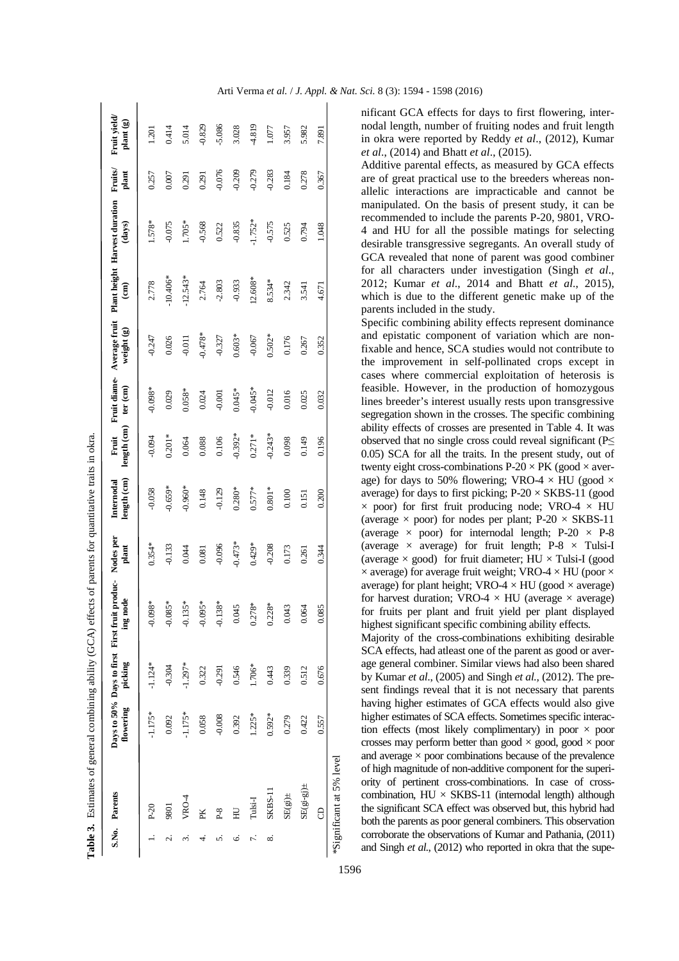|        |               |                   |           | <b>Table 3.</b> Estimates of general combining ability (GCA) effects of parents for quantitative traits in okra |           |                           |                      |           |                                                |               |                                         |                        |                           |
|--------|---------------|-------------------|-----------|-----------------------------------------------------------------------------------------------------------------|-----------|---------------------------|----------------------|-----------|------------------------------------------------|---------------|-----------------------------------------|------------------------|---------------------------|
|        | S.No. Parents | flowering picking |           | Days to 50% Days to first First fruit produc- Nodes per<br>ing node                                             | plant     | length (cm)<br>Internodal | length (cm) ter (cm) |           | Fruit Fruit diame- Average fruit<br>weight (g) | $\widehat{E}$ | Plant height Harvest duration<br>(days) | <b>Fruits</b><br>plant | Fruit yield/<br>plant (g) |
|        | $P-20$        | $-1.175*$         | $-1.124*$ | $-0.098*$                                                                                                       | $0.354*$  | $-0.058$                  | $-0.094$             | $-0.098*$ | $-0.247$                                       | 2.778         | 1.578*                                  | 0.257                  | 1.201                     |
| نہ<br> | 9801          | 0.092             | $-0.304$  | $385*$<br>$-0.0$                                                                                                | $-0.133$  | $-0.659*$                 | $0.201*$             | 0.029     | 0.026                                          | $-10.406*$    | $-0.075$                                | 0.007                  | 0.414                     |
| S.     | VRO-4         | $-1.175*$         | $-1.297*$ | $35*$<br>$-0.1$                                                                                                 | 0.044     | $-0.960*$                 | 0.064                | $0.058*$  | $-0.011$                                       | $-12.543*$    | 1.705*                                  | 0.291                  | 5.014                     |
|        | PK            | 0.058             | 0.322     | $-0.095*$                                                                                                       | 0.081     | 0.148                     | 0.088                | 0.024     | $-0.478*$                                      | 2.764         | $-0.568$                                | 0.291                  | $-0.829$                  |
| n      | $P-8$         | $-0.008$          | $-0.291$  | $38*$<br>$-0.1$                                                                                                 | $-0.096$  | $-0.129$                  | 0.106                | $-0.001$  | $-0.327$                                       | $-2.803$      | 0.522                                   | $-0.076$               | $-5.086$                  |
| Ö      | $\Xi$         | 0.392             | 0.546     | 0.045                                                                                                           | $-0.473*$ | $0.280*$                  | $0.392*$             | $0.045*$  | $0.603*$                                       | $-0.933$      | $-0.835$                                | $-0.209$               | 3.028                     |
| 7.     | Tulsi-I       | $1.225*$          | $1.706*$  | $0.278*$                                                                                                        | $0.429*$  | $0.577*$                  | $0.271*$             | $-0.045*$ | $-0.067$                                       | $12.608*$     | $-1.752*$                               | $-0.279$               | 4.819                     |
| ∞      | SKBS-11       | $0.592*$          | 0.443     | $0.228*$                                                                                                        | $-0.208$  | $0.801*$                  | $-0.243*$            | $-0.012$  | $0.502*$                                       | 8.534*        | $-0.575$                                | $-0.283$               | 1.077                     |
|        | $SE(gj)$ ±    | 0.279             | 0.339     | 0.043                                                                                                           | 0.173     | 0.100                     | 0.098                | 0.016     | 0.176                                          | 2.342         | 0.525                                   | 0.184                  | 3.957                     |
|        | $SE(g-ej)$ ±  | 0.422             | 0.512     | 0.064                                                                                                           | 0.261     | 0.151                     | 0.149                | 0.025     | 0.267                                          | 3.541         | 0.794                                   | 0.278                  | 5.982                     |
|        | 8             | 0.557             | 0.676     | 0.085                                                                                                           | 0.344     | 0.200                     | 0.196                | 0.032     | 0.352                                          | 4.671         | 1.048                                   | 0.367                  | 7.891                     |

**Table 3.** Estimates of general combining ability (GCA) effects of parents for quantitative traits in olera.

nificant GCA effects for days to first flowering, internodal length, number of fruiting nodes and fruit length in okra were reported by Reddy *et al*., (2012), Kumar *et al*., (2014) and Bhatt *et al*., (2015).

Additive parental effects, as measured by GCA effects are of great practical use to the breeders whereas nonallelic interactions are impracticable and cannot be manipulated. On the basis of present study, it can be recommended to include the parents P-20, 9801, VRO-4 and HU for all the possible matings for selecting desirable transgressive segregants. An overall study of GCA revealed that none of parent was good combiner for all characters under investigation (Singh *et al*., 2012; Kumar *et al*., 2014 and Bhatt *et al*., 2015), which is due to the different genetic make up of the parents included in the study.

Specific combining ability effects represent dominance and epistatic component of variation which are nonfixable and hence, SCA studies would not contribute to the improvement in self-pollinated crops except in cases where commercial exploitation of heterosis is feasible. However, in the production of homozygous lines breeder's interest usually rests upon transgressive segregation shown in the crosses. The specific combining ability effects of crosses are presented in Table 4. It was observed that no single cross could reveal significant ( $P\leq$ 0.05) SCA for all the traits. In the present study, out of twenty eight cross-combinations  $P-20 \times PK$  (good  $\times$  average) for days to 50% flowering; VRO-4  $\times$  HU (good  $\times$ average) for days to first picking;  $P-20 \times SKBS-11$  (good  $\times$  poor) for first fruit producing node; VRO-4  $\times$  HU (average  $\times$  poor) for nodes per plant; P-20  $\times$  SKBS-11 (average  $\times$  poor) for internodal length; P-20  $\times$  P-8 (average  $\times$  average) for fruit length; P-8  $\times$  Tulsi-I (average  $\times$  good) for fruit diameter; HU  $\times$  Tulsi-I (good)  $\times$  average) for average fruit weight; VRO-4  $\times$  HU (poor  $\times$ average) for plant height; VRO-4  $\times$  HU (good  $\times$  average) for harvest duration; VRO-4  $\times$  HU (average  $\times$  average) for fruits per plant and fruit yield per plant displayed highest significant specific combining ability effects.

Majority of the cross-combinations exhibiting desirable SCA effects, had atleast one of the parent as good or average general combiner. Similar views had also been shared by Kumar *et al*., (2005) and Singh *et al.,* (2012). The present findings reveal that it is not necessary that parents having higher estimates of GCA effects would also give higher estimates of SCA effects. Sometimes specific interaction effects (most likely complimentary) in poor  $\times$  poor crosses may perform better than good  $\times$  good, good  $\times$  poor and average  $\times$  poor combinations because of the prevalence of high magnitude of non-additive component for the superiority of pertinent cross-combinations. In case of crosscombination,  $HU \times SKBS-11$  (internodal length) although the significant SCA effect was observed but, this hybrid had both the parents as poor general combiners. This observation corroborate the observations of Kumar and Pathania, (2011) and Singh *et al.*, (2012) who reported in okra that the supe-

\*Significant at 5% level

\*Significant at 5% level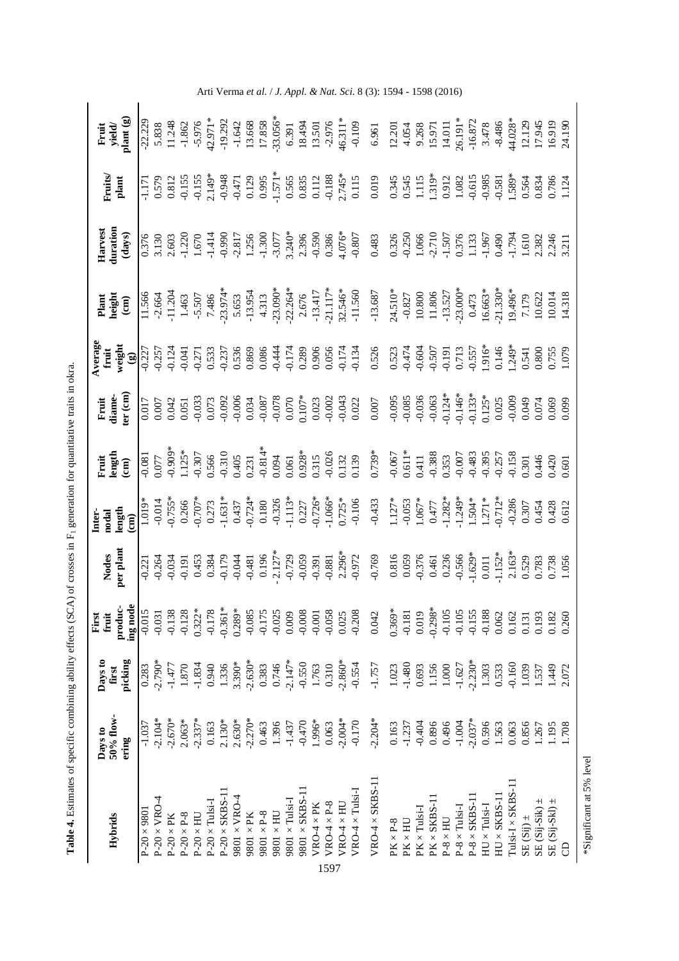| Hybrids                       | 50% flow-<br>Days to<br>ering                                    | Days to<br>picking<br>first | produc-<br>ing node<br>First<br>fruit | Nodes<br>per plant | $\begin{array}{l} \text{deg} \\ \text{length} \\ \text{1} & \begin{array}{c} 0.755 \\ -0.755 \\ -0.755 \\ -0.753 \\ -0.754 \\ -0.754 \\ -0.754 \\ -0.754 \\ -0.754 \\ -0.754 \\ -0.754 \\ -0.754 \\ -0.754 \\ -0.754 \\ -0.754 \\ -0.754 \\ -0.754 \\ -0.754 \\ -0.754 \\ -0.754 \\ -0.754 \\ -0.754 \\ -0.754 \\ -0.754 \\ -0.754 \\ -0.754 \\ -0.754$<br>nter- | Fuit<br>ength<br>ength                                                                                                                                                                                                                                                                                                          | Fruit<br>diame-<br>er (cm) | Plant<br>height<br>(cm) | Harvest<br>luration<br>(days) | <b>Truits</b> | Fruit<br>yield/<br>plant (g) |
|-------------------------------|------------------------------------------------------------------|-----------------------------|---------------------------------------|--------------------|------------------------------------------------------------------------------------------------------------------------------------------------------------------------------------------------------------------------------------------------------------------------------------------------------------------------------------------------------------------|---------------------------------------------------------------------------------------------------------------------------------------------------------------------------------------------------------------------------------------------------------------------------------------------------------------------------------|----------------------------|-------------------------|-------------------------------|---------------|------------------------------|
| $P-20 \times 9801$            | $-1.037$                                                         | 0.283                       | $-0.015$                              |                    |                                                                                                                                                                                                                                                                                                                                                                  |                                                                                                                                                                                                                                                                                                                                 |                            |                         |                               |               |                              |
| $P-20 \times VRO-4$           | $-2.104*$                                                        | $.2.790*$                   | $-0.031$                              |                    |                                                                                                                                                                                                                                                                                                                                                                  |                                                                                                                                                                                                                                                                                                                                 |                            |                         |                               |               |                              |
| $P-20 \times PK$              | $-2.670*$                                                        | $-1.477$                    | $-0.138$                              |                    |                                                                                                                                                                                                                                                                                                                                                                  |                                                                                                                                                                                                                                                                                                                                 |                            |                         |                               |               |                              |
| $\text{P-20}\times\text{P-8}$ | $2.063*$                                                         | $1.870\,$                   | $-0.128$                              |                    |                                                                                                                                                                                                                                                                                                                                                                  |                                                                                                                                                                                                                                                                                                                                 |                            |                         |                               |               |                              |
| $P-20 \times HU$              | $-2.337*$                                                        |                             | $0.322*$                              |                    |                                                                                                                                                                                                                                                                                                                                                                  |                                                                                                                                                                                                                                                                                                                                 |                            |                         |                               |               |                              |
| $P-20 \times Tulsi-I$         | 0.163                                                            |                             | $-0.178$                              |                    |                                                                                                                                                                                                                                                                                                                                                                  |                                                                                                                                                                                                                                                                                                                                 |                            |                         |                               |               |                              |
| $P-20 \times SKBS-11$         |                                                                  | $\frac{1.834}{0.940}$       | $-0.361*$                             |                    |                                                                                                                                                                                                                                                                                                                                                                  |                                                                                                                                                                                                                                                                                                                                 |                            |                         |                               |               |                              |
| $9801 \times VRO-4$           | $2.130*$<br>2.630*                                               | 3.390*                      | $0.289*$                              |                    |                                                                                                                                                                                                                                                                                                                                                                  |                                                                                                                                                                                                                                                                                                                                 |                            |                         |                               |               |                              |
| $9801 \times PK$              | $-2.270*$                                                        | $-2.630*$                   | $-0.085$                              |                    |                                                                                                                                                                                                                                                                                                                                                                  |                                                                                                                                                                                                                                                                                                                                 |                            |                         |                               |               |                              |
| $9801\times P-8$              | 0.463<br>1.396                                                   | 0.383<br>0.746              | $-0.175$                              |                    |                                                                                                                                                                                                                                                                                                                                                                  |                                                                                                                                                                                                                                                                                                                                 |                            |                         |                               |               |                              |
| $9801\times\textrm{HU}$       |                                                                  |                             | $-0.025$                              |                    |                                                                                                                                                                                                                                                                                                                                                                  |                                                                                                                                                                                                                                                                                                                                 |                            |                         |                               |               |                              |
| $9801 \times \text{Tulsi-I}$  | $-1.437$<br>$-0.470$                                             | $-2.147*$                   | 0.009                                 |                    |                                                                                                                                                                                                                                                                                                                                                                  |                                                                                                                                                                                                                                                                                                                                 |                            |                         |                               |               |                              |
| $9801 \times \text{SKBS-11}$  |                                                                  | $-0.550$<br>1.763           | $-0.008$                              |                    |                                                                                                                                                                                                                                                                                                                                                                  |                                                                                                                                                                                                                                                                                                                                 |                            |                         |                               |               |                              |
| $VRO-4\times PK$              | 1.996*                                                           |                             | $-0.001$                              |                    |                                                                                                                                                                                                                                                                                                                                                                  |                                                                                                                                                                                                                                                                                                                                 |                            |                         |                               |               |                              |
| $VRO-4 \times P-8$<br>1597    | $0.063$<br>-2.004*                                               | $0.310$<br>$-2.860*$        | $-0.058$                              |                    |                                                                                                                                                                                                                                                                                                                                                                  |                                                                                                                                                                                                                                                                                                                                 |                            |                         |                               |               |                              |
| $VRO-4 \times HU$             |                                                                  |                             | 0.025                                 |                    |                                                                                                                                                                                                                                                                                                                                                                  |                                                                                                                                                                                                                                                                                                                                 |                            |                         |                               |               |                              |
| $VRO-4 \times Tulsi-I$        | $-0.170$                                                         | $-0.554$                    | $-0.208$                              |                    |                                                                                                                                                                                                                                                                                                                                                                  |                                                                                                                                                                                                                                                                                                                                 |                            |                         |                               |               |                              |
| $VRO-4 \times SKB-11$         | $-2.204*$                                                        | $-1.757$                    | 0.042                                 |                    |                                                                                                                                                                                                                                                                                                                                                                  | $\begin{array}{l} \hline 181 \\ 105 \\ 111 \\ 125 \\ 136 \\ 145 \\ 156 \\ 169 \\ 176 \\ 180 \\ 190 \\ 101 \\ 102 \\ 103 \\ 104 \\ 105 \\ 106 \\ 107 \\ 108 \\ 109 \\ 100 \\ 100 \\ 101 \\ 101 \\ 101 \\ 102 \\ 103 \\ 103 \\ 109 \\ 101 \\ 109 \\ 100 \\ 101 \\ 103 \\ 109 \\ 100 \\ 100 \\ 101 \\ 103 \\ 100 \\ 101 \\ 103 \\$ |                            |                         |                               |               |                              |
| $PK \times P-8$               |                                                                  | 1.023                       | $0.369*$                              |                    |                                                                                                                                                                                                                                                                                                                                                                  |                                                                                                                                                                                                                                                                                                                                 |                            |                         |                               |               |                              |
| $PK \times HU$                | $\begin{array}{c} 0.163 \\ -1.237 \\ 0.404 \\ 0.896 \end{array}$ | $-1.480$                    | $-0.181$                              |                    |                                                                                                                                                                                                                                                                                                                                                                  |                                                                                                                                                                                                                                                                                                                                 |                            |                         |                               |               |                              |
| $PK \times Tulsi$ -           |                                                                  | 0.693                       | 0.019                                 |                    |                                                                                                                                                                                                                                                                                                                                                                  |                                                                                                                                                                                                                                                                                                                                 |                            |                         |                               |               |                              |
| $PK \times SKBS-11$           |                                                                  | 1.156                       | $-0.298*$                             |                    |                                                                                                                                                                                                                                                                                                                                                                  |                                                                                                                                                                                                                                                                                                                                 |                            |                         |                               |               |                              |
| $P-8 \times HU$               | 0.496                                                            | 1.000                       | $-0.105$                              |                    |                                                                                                                                                                                                                                                                                                                                                                  |                                                                                                                                                                                                                                                                                                                                 |                            |                         |                               |               |                              |
| $P-8 \times Tulsi-I$          | $-1.004$                                                         | $-1.627$                    | $-0.105$                              |                    |                                                                                                                                                                                                                                                                                                                                                                  |                                                                                                                                                                                                                                                                                                                                 |                            |                         |                               |               |                              |
| $P-8 \times SKBS-1$           | $-2.037*$                                                        | $-2.230*$                   | $-0.155$                              |                    |                                                                                                                                                                                                                                                                                                                                                                  |                                                                                                                                                                                                                                                                                                                                 |                            |                         |                               |               |                              |
| $HU \times Tulsi-I$           | 0.596                                                            | 1.303                       | $-0.188$                              |                    |                                                                                                                                                                                                                                                                                                                                                                  |                                                                                                                                                                                                                                                                                                                                 |                            |                         |                               |               |                              |
| $HU \times SKBS-11$           | 1.563                                                            | 0.533                       | 0.062                                 |                    |                                                                                                                                                                                                                                                                                                                                                                  |                                                                                                                                                                                                                                                                                                                                 |                            |                         |                               |               |                              |
| $Tulsi-I \times SKBS-11$      | 0.063                                                            | $-0.160$                    | 0.162                                 |                    |                                                                                                                                                                                                                                                                                                                                                                  |                                                                                                                                                                                                                                                                                                                                 |                            |                         |                               |               |                              |
| SE (Sij) $\pm$                | 0.856                                                            | 1.039                       | 0.131                                 |                    |                                                                                                                                                                                                                                                                                                                                                                  |                                                                                                                                                                                                                                                                                                                                 |                            |                         |                               |               |                              |
| SE (Sij-Sik) $\pm$            | 1.267                                                            | 1.537                       | 0.193                                 |                    |                                                                                                                                                                                                                                                                                                                                                                  |                                                                                                                                                                                                                                                                                                                                 |                            |                         |                               |               |                              |
| SE (Sij-Skl) $\pm$            | .195                                                             | 1.449                       | 0.182                                 |                    |                                                                                                                                                                                                                                                                                                                                                                  |                                                                                                                                                                                                                                                                                                                                 |                            |                         |                               |               |                              |
| 8                             | .708                                                             | 2.072                       | 0.260                                 |                    |                                                                                                                                                                                                                                                                                                                                                                  |                                                                                                                                                                                                                                                                                                                                 |                            |                         |                               |               |                              |

\*Significant at 5% level

\*Significant at 5% level

Table 4. Estimates of specific combining ability effects (SCA) of crosses in F<sub>1</sub> generation for quantitative tratis in okra. **Table 4.** Estimates of specific combining ability effects (SCA) of crosses in F1 generation for quantitative traits in okra.

Arti Verma *et al.* / *J. Appl. & Nat. Sci.* 8 (3): 1594 - 1598 (2016)